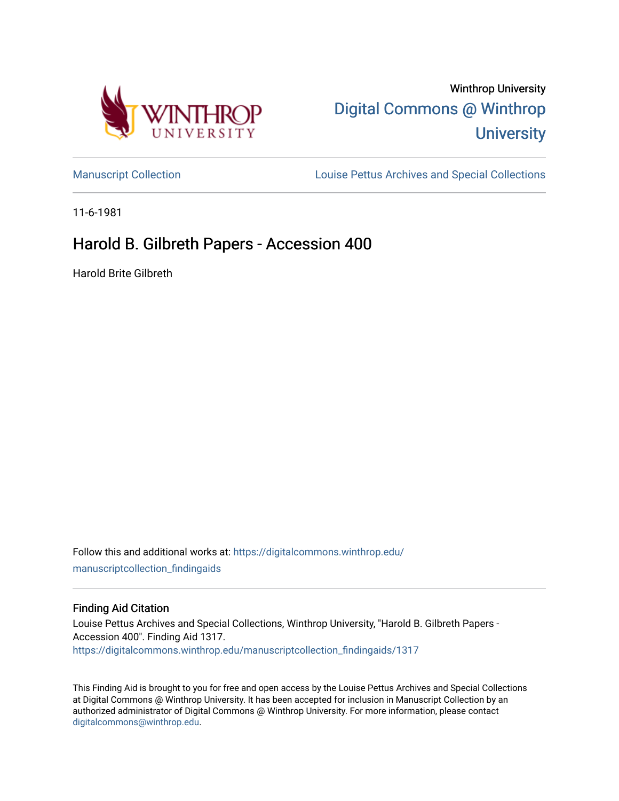

# Winthrop University [Digital Commons @ Winthrop](https://digitalcommons.winthrop.edu/)  **University**

[Manuscript Collection](https://digitalcommons.winthrop.edu/manuscriptcollection_findingaids) **Louise Pettus Archives and Special Collections** 

11-6-1981

## Harold B. Gilbreth Papers - Accession 400

Harold Brite Gilbreth

Follow this and additional works at: [https://digitalcommons.winthrop.edu/](https://digitalcommons.winthrop.edu/manuscriptcollection_findingaids?utm_source=digitalcommons.winthrop.edu%2Fmanuscriptcollection_findingaids%2F1317&utm_medium=PDF&utm_campaign=PDFCoverPages) [manuscriptcollection\\_findingaids](https://digitalcommons.winthrop.edu/manuscriptcollection_findingaids?utm_source=digitalcommons.winthrop.edu%2Fmanuscriptcollection_findingaids%2F1317&utm_medium=PDF&utm_campaign=PDFCoverPages) 

#### Finding Aid Citation

Louise Pettus Archives and Special Collections, Winthrop University, "Harold B. Gilbreth Papers - Accession 400". Finding Aid 1317. [https://digitalcommons.winthrop.edu/manuscriptcollection\\_findingaids/1317](https://digitalcommons.winthrop.edu/manuscriptcollection_findingaids/1317?utm_source=digitalcommons.winthrop.edu%2Fmanuscriptcollection_findingaids%2F1317&utm_medium=PDF&utm_campaign=PDFCoverPages) 

This Finding Aid is brought to you for free and open access by the Louise Pettus Archives and Special Collections at Digital Commons @ Winthrop University. It has been accepted for inclusion in Manuscript Collection by an authorized administrator of Digital Commons @ Winthrop University. For more information, please contact [digitalcommons@winthrop.edu](mailto:digitalcommons@winthrop.edu).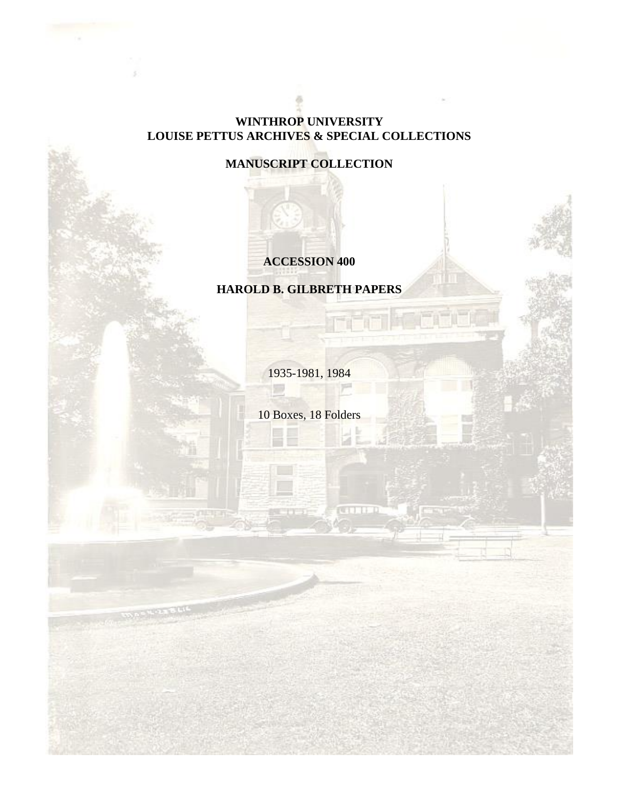### **WINTHROP UNIVERSITY LOUISE PETTUS ARCHIVES & SPECIAL COLLECTIONS**

### **MANUSCRIPT COLLECTION**

### **ACCESSION 400**

### **HAROLD B. GILBRETH PAPERS**

1935-1981, 1984

53

10 Boxes, 18 Folders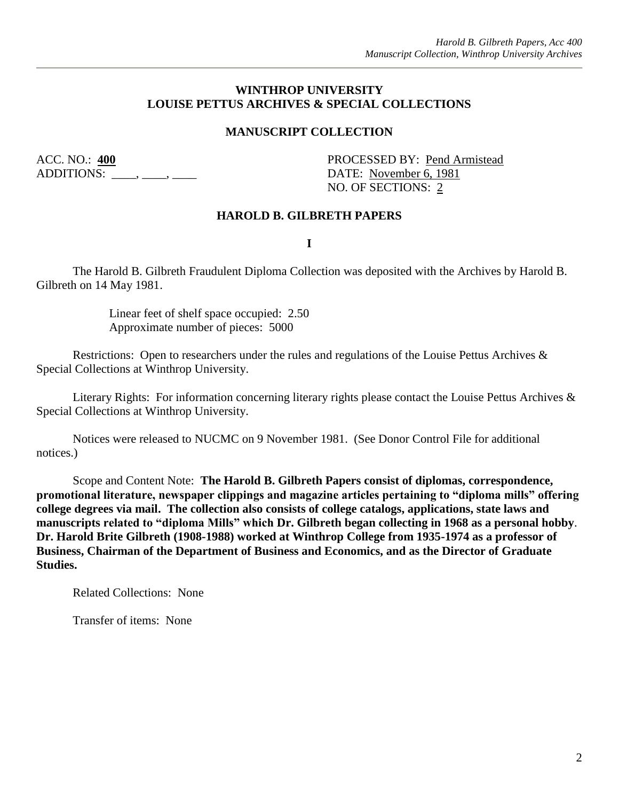#### **WINTHROP UNIVERSITY LOUISE PETTUS ARCHIVES & SPECIAL COLLECTIONS**

#### **MANUSCRIPT COLLECTION**

ADDITIONS:  $\overline{\phantom{a}}$ ,  $\overline{\phantom{a}}$ ,  $\overline{\phantom{a}}$ ,  $\overline{\phantom{a}}$  DATE: November 6, 1981

ACC. NO.: 400 PROCESSED BY: Pend Armistead NO. OF SECTIONS: 2

#### **HAROLD B. GILBRETH PAPERS**

**I**

The Harold B. Gilbreth Fraudulent Diploma Collection was deposited with the Archives by Harold B. Gilbreth on 14 May 1981.

> Linear feet of shelf space occupied: 2.50 Approximate number of pieces: 5000

Restrictions: Open to researchers under the rules and regulations of the Louise Pettus Archives & Special Collections at Winthrop University.

Literary Rights: For information concerning literary rights please contact the Louise Pettus Archives & Special Collections at Winthrop University.

Notices were released to NUCMC on 9 November 1981. (See Donor Control File for additional notices.)

Scope and Content Note: **The Harold B. Gilbreth Papers consist of diplomas, correspondence, promotional literature, newspaper clippings and magazine articles pertaining to "diploma mills" offering college degrees via mail. The collection also consists of college catalogs, applications, state laws and manuscripts related to "diploma Mills" which Dr. Gilbreth began collecting in 1968 as a personal hobby**. **Dr. Harold Brite Gilbreth (1908-1988) worked at Winthrop College from 1935-1974 as a professor of Business, Chairman of the Department of Business and Economics, and as the Director of Graduate Studies.** 

Related Collections: None

Transfer of items: None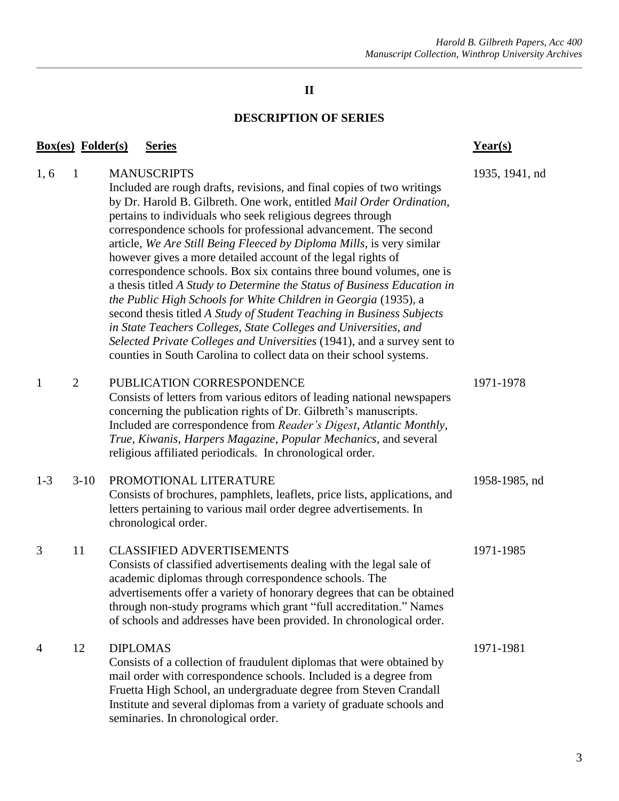#### **II**

#### **DESCRIPTION OF SERIES**

### **Box(es) Folder(s) Series Year(s)** 1, 6 1 MANUSCRIPTS 1935, 1941, nd Included are rough drafts, revisions, and final copies of two writings by Dr. Harold B. Gilbreth. One work, entitled *Mail Order Ordination*, pertains to individuals who seek religious degrees through correspondence schools for professional advancement. The second article, *We Are Still Being Fleeced by Diploma Mills*, is very similar however gives a more detailed account of the legal rights of correspondence schools. Box six contains three bound volumes, one is a thesis titled *A Study to Determine the Status of Business Education in the Public High Schools for White Children in Georgia* (1935), a second thesis titled *A Study of Student Teaching in Business Subjects in State Teachers Colleges, State Colleges and Universities, and Selected Private Colleges and Universities* (1941), and a survey sent to counties in South Carolina to collect data on their school systems. 1 2 PUBLICATION CORRESPONDENCE 1971-1978 Consists of letters from various editors of leading national newspapers concerning the publication rights of Dr. Gilbreth's manuscripts. Included are correspondence from *Reader's Digest*, *Atlantic Monthly*, *True*, *Kiwanis*, *Harpers Magazine*, *Popular Mechanics*, and several religious affiliated periodicals. In chronological order. 1-3 3-10 PROMOTIONAL LITERATURE 1958-1985, nd Consists of brochures, pamphlets, leaflets, price lists, applications, and letters pertaining to various mail order degree advertisements. In chronological order. 3 11 CLASSIFIED ADVERTISEMENTS 1971-1985 Consists of classified advertisements dealing with the legal sale of academic diplomas through correspondence schools. The advertisements offer a variety of honorary degrees that can be obtained through non-study programs which grant "full accreditation." Names of schools and addresses have been provided. In chronological order. 4 12 DIPLOMAS 1971-1981 Consists of a collection of fraudulent diplomas that were obtained by mail order with correspondence schools. Included is a degree from Fruetta High School, an undergraduate degree from Steven Crandall Institute and several diplomas from a variety of graduate schools and seminaries. In chronological order.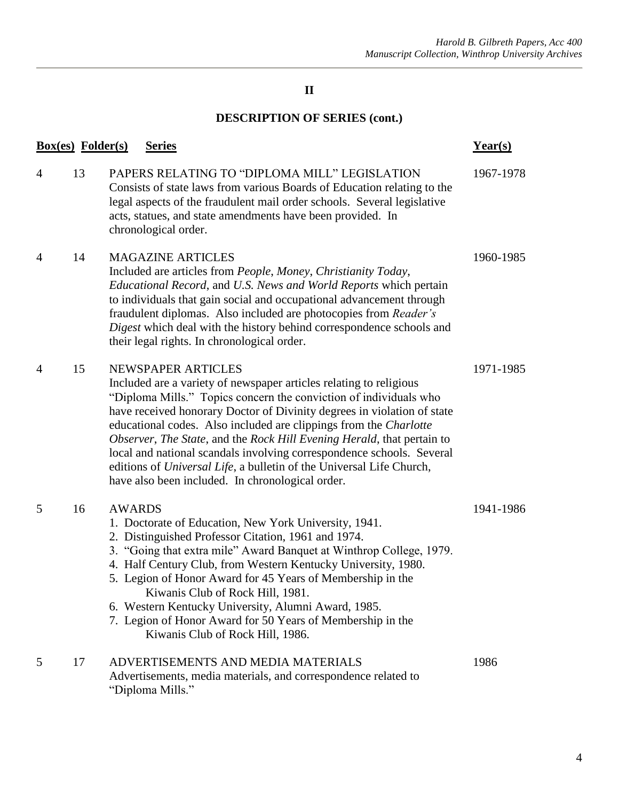### **II**

# **DESCRIPTION OF SERIES (cont.)**

|                | <b>Box(es)</b> Folder(s) | <b>Series</b>                                                                                                                                                                                                                                                                                                                                                                                                                                                                                                                                                                                | Year(s)   |
|----------------|--------------------------|----------------------------------------------------------------------------------------------------------------------------------------------------------------------------------------------------------------------------------------------------------------------------------------------------------------------------------------------------------------------------------------------------------------------------------------------------------------------------------------------------------------------------------------------------------------------------------------------|-----------|
| $\overline{4}$ | 13                       | PAPERS RELATING TO "DIPLOMA MILL" LEGISLATION<br>Consists of state laws from various Boards of Education relating to the<br>legal aspects of the fraudulent mail order schools. Several legislative<br>acts, statues, and state amendments have been provided. In<br>chronological order.                                                                                                                                                                                                                                                                                                    | 1967-1978 |
| 4              | 14                       | <b>MAGAZINE ARTICLES</b><br>Included are articles from People, Money, Christianity Today,<br><i>Educational Record, and U.S. News and World Reports which pertain</i><br>to individuals that gain social and occupational advancement through<br>fraudulent diplomas. Also included are photocopies from Reader's<br>Digest which deal with the history behind correspondence schools and<br>their legal rights. In chronological order.                                                                                                                                                     | 1960-1985 |
| $\overline{4}$ | 15                       | NEWSPAPER ARTICLES<br>Included are a variety of newspaper articles relating to religious<br>"Diploma Mills." Topics concern the conviction of individuals who<br>have received honorary Doctor of Divinity degrees in violation of state<br>educational codes. Also included are clippings from the Charlotte<br>Observer, The State, and the Rock Hill Evening Herald, that pertain to<br>local and national scandals involving correspondence schools. Several<br>editions of Universal Life, a bulletin of the Universal Life Church,<br>have also been included. In chronological order. | 1971-1985 |
| 5              | 16                       | <b>AWARDS</b><br>1. Doctorate of Education, New York University, 1941.<br>2. Distinguished Professor Citation, 1961 and 1974.<br>3. "Going that extra mile" Award Banquet at Winthrop College, 1979.<br>4. Half Century Club, from Western Kentucky University, 1980.<br>5. Legion of Honor Award for 45 Years of Membership in the<br>Kiwanis Club of Rock Hill, 1981.<br>6. Western Kentucky University, Alumni Award, 1985.<br>7. Legion of Honor Award for 50 Years of Membership in the<br>Kiwanis Club of Rock Hill, 1986.                                                             | 1941-1986 |
| 5              | 17                       | ADVERTISEMENTS AND MEDIA MATERIALS<br>Advertisements, media materials, and correspondence related to<br>"Diploma Mills."                                                                                                                                                                                                                                                                                                                                                                                                                                                                     | 1986      |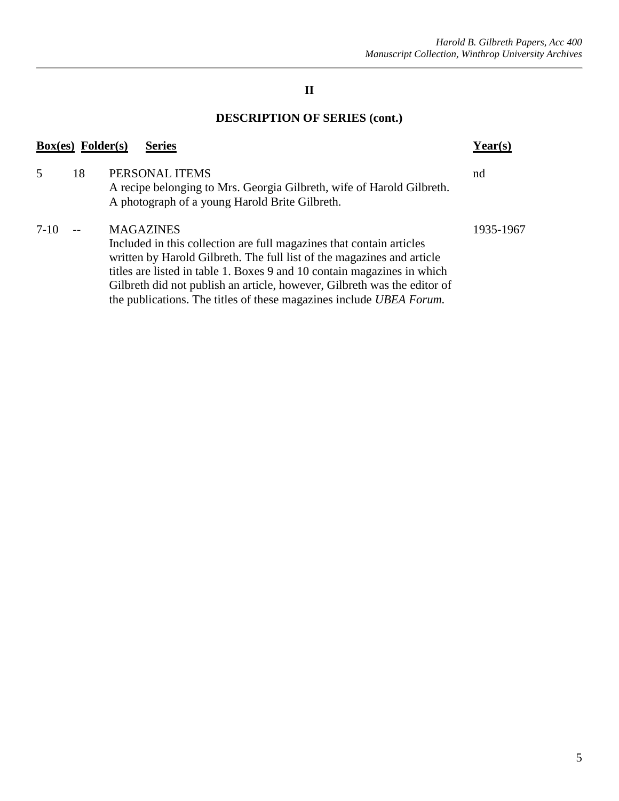### **II**

# **DESCRIPTION OF SERIES (cont.)**

| <b>Box(es)</b> Folder(s)<br><b>Series</b> |    |                                                                                                                                                                                                                                                                                                                                                                                                  |           |  |  |
|-------------------------------------------|----|--------------------------------------------------------------------------------------------------------------------------------------------------------------------------------------------------------------------------------------------------------------------------------------------------------------------------------------------------------------------------------------------------|-----------|--|--|
|                                           | 18 | PERSONAL ITEMS<br>A recipe belonging to Mrs. Georgia Gilbreth, wife of Harold Gilbreth.<br>A photograph of a young Harold Brite Gilbreth.                                                                                                                                                                                                                                                        | nd        |  |  |
| 7-10                                      |    | <b>MAGAZINES</b><br>Included in this collection are full magazines that contain articles<br>written by Harold Gilbreth. The full list of the magazines and article<br>titles are listed in table 1. Boxes 9 and 10 contain magazines in which<br>Gilbreth did not publish an article, however, Gilbreth was the editor of<br>the publications. The titles of these magazines include UBEA Forum. | 1935-1967 |  |  |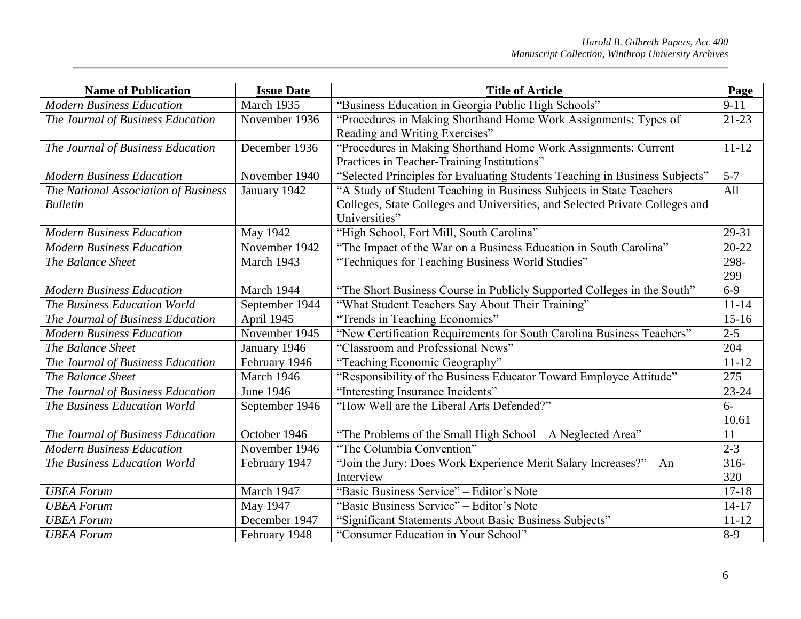| <b>Name of Publication</b>           | <b>Issue Date</b> | <b>Title of Article</b>                                                      | Page             |
|--------------------------------------|-------------------|------------------------------------------------------------------------------|------------------|
| <b>Modern Business Education</b>     | March 1935        | "Business Education in Georgia Public High Schools"                          | $9-11$           |
| The Journal of Business Education    | November 1936     | "Procedures in Making Shorthand Home Work Assignments: Types of              | $21 - 23$        |
|                                      |                   | Reading and Writing Exercises"                                               |                  |
| The Journal of Business Education    | December 1936     | "Procedures in Making Shorthand Home Work Assignments: Current               | $11 - 12$        |
|                                      |                   | Practices in Teacher-Training Institutions"                                  |                  |
| <b>Modern Business Education</b>     | November 1940     | "Selected Principles for Evaluating Students Teaching in Business Subjects"  | $5 - 7$          |
| The National Association of Business | January 1942      | "A Study of Student Teaching in Business Subjects in State Teachers          | All              |
| <b>Bulletin</b>                      |                   | Colleges, State Colleges and Universities, and Selected Private Colleges and |                  |
|                                      |                   | Universities"                                                                |                  |
| <b>Modern Business Education</b>     | <b>May 1942</b>   | "High School, Fort Mill, South Carolina"                                     | 29-31            |
| <b>Modern Business Education</b>     | November 1942     | "The Impact of the War on a Business Education in South Carolina"            | $20 - 22$        |
| The Balance Sheet                    | March 1943        | "Techniques for Teaching Business World Studies"                             | 298-             |
|                                      |                   |                                                                              | 299              |
| <b>Modern Business Education</b>     | March 1944        | "The Short Business Course in Publicly Supported Colleges in the South"      | $6 - 9$          |
| The Business Education World         | September 1944    | "What Student Teachers Say About Their Training"                             | $11 - 14$        |
| The Journal of Business Education    | April 1945        | "Trends in Teaching Economics"                                               | $15 - 16$        |
| <b>Modern Business Education</b>     | November 1945     | "New Certification Requirements for South Carolina Business Teachers"        | $2 - 5$          |
| The Balance Sheet                    | January 1946      | "Classroom and Professional News"                                            | 204              |
| The Journal of Business Education    | February 1946     | "Teaching Economic Geography"                                                | $11 - 12$        |
| The Balance Sheet                    | March 1946        | "Responsibility of the Business Educator Toward Employee Attitude"           | $\overline{275}$ |
| The Journal of Business Education    | June 1946         | "Interesting Insurance Incidents"                                            | $23 - 24$        |
| The Business Education World         | September 1946    | "How Well are the Liberal Arts Defended?"                                    | $6-$             |
|                                      |                   |                                                                              | 10,61            |
| The Journal of Business Education    | October 1946      | "The Problems of the Small High School - A Neglected Area"                   | 11               |
| <b>Modern Business Education</b>     | November 1946     | "The Columbia Convention"                                                    | $2 - 3$          |
| The Business Education World         | February 1947     | "Join the Jury: Does Work Experience Merit Salary Increases?" - An           | $316 -$          |
|                                      |                   | Interview                                                                    | 320              |
| <b>UBEA</b> Forum                    | March 1947        | "Basic Business Service" - Editor's Note                                     | $17 - 18$        |
| <b>UBEA</b> Forum                    | May 1947          | "Basic Business Service" – Editor's Note                                     | $14 - 17$        |
| <b>UBEA</b> Forum                    | December 1947     | "Significant Statements About Basic Business Subjects"                       | $11 - 12$        |
| <b>UBEA</b> Forum                    | February 1948     | "Consumer Education in Your School"                                          | $8-9$            |